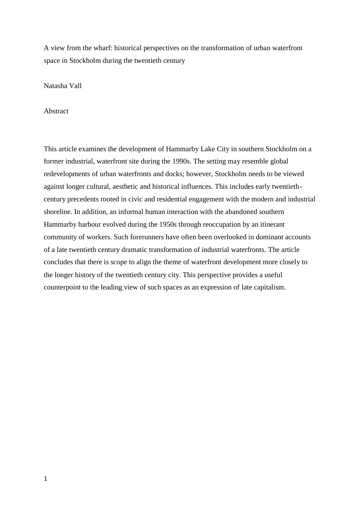A view from the wharf: historical perspectives on the transformation of urban waterfront space in Stockholm during the twentieth century

Natasha Vall

Abstract

This article examines the development of Hammarby Lake City in southern Stockholm on a former industrial, waterfront site during the 1990s. The setting may resemble global redevelopments of urban waterfronts and docks; however, Stockholm needs to be viewed against longer cultural, aesthetic and historical influences. This includes early twentiethcentury precedents rooted in civic and residential engagement with the modern and industrial shoreline. In addition, an informal human interaction with the abandoned southern Hammarby harbour evolved during the 1950s through reoccupation by an itinerant community of workers. Such forerunners have often been overlooked in dominant accounts of a late twentieth century dramatic transformation of industrial waterfronts. The article concludes that there is scope to align the theme of waterfront development more closely to the longer history of the twentieth century city. This perspective provides a useful counterpoint to the leading view of such spaces as an expression of late capitalism.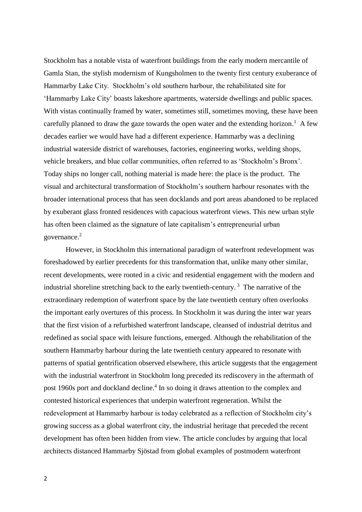Stockholm has a notable vista of waterfront buildings from the early modern mercantile of Gamla Stan, the stylish modernism of Kungsholmen to the twenty first century exuberance of Hammarby Lake City. Stockholm's old southern harbour, the rehabilitated site for 'Hammarby Lake City' boasts lakeshore apartments, waterside dwellings and public spaces. With vistas continually framed by water, sometimes still, sometimes moving, these have been carefully planned to draw the gaze towards the open water and the extending horizon.<sup>1</sup> A few decades earlier we would have had a different experience. Hammarby was a declining industrial waterside district of warehouses, factories, engineering works, welding shops, vehicle breakers, and blue collar communities, often referred to as 'Stockholm's Bronx'. Today ships no longer call, nothing material is made here: the place is the product. The visual and architectural transformation of Stockholm's southern harbour resonates with the broader international process that has seen docklands and port areas abandoned to be replaced by exuberant glass fronted residences with capacious waterfront views. This new urban style has often been claimed as the signature of late capitalism's entrepreneurial urban governance. 2

However, in Stockholm this international paradigm of waterfront redevelopment was foreshadowed by earlier precedents for this transformation that, unlike many other similar, recent developments, were rooted in a civic and residential engagement with the modern and industrial shoreline stretching back to the early twentieth-century.<sup>3</sup> The narrative of the extraordinary redemption of waterfront space by the late twentieth century often overlooks the important early overtures of this process. In Stockholm it was during the inter war years that the first vision of a refurbished waterfront landscape, cleansed of industrial detritus and redefined as social space with leisure functions, emerged. Although the rehabilitation of the southern Hammarby harbour during the late twentieth century appeared to resonate with patterns of spatial gentrification observed elsewhere, this article suggests that the engagement with the industrial waterfront in Stockholm long preceded its rediscovery in the aftermath of post 1960s port and dockland decline.<sup>4</sup> In so doing it draws attention to the complex and contested historical experiences that underpin waterfront regeneration. Whilst the redevelopment at Hammarby harbour is today celebrated as a reflection of Stockholm city's growing success as a global waterfront city, the industrial heritage that preceded the recent development has often been hidden from view. The article concludes by arguing that local architects distanced Hammarby Sjöstad from global examples of postmodern waterfront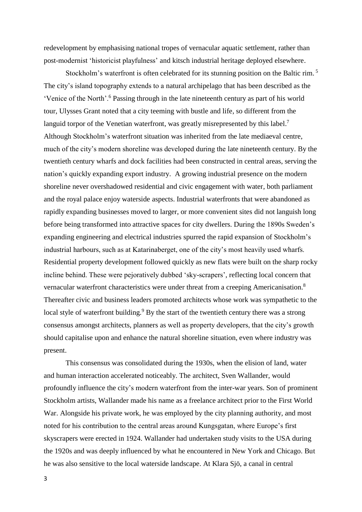redevelopment by emphasising national tropes of vernacular aquatic settlement, rather than post-modernist 'historicist playfulness' and kitsch industrial heritage deployed elsewhere.

Stockholm's waterfront is often celebrated for its stunning position on the Baltic rim.<sup>5</sup> The city's island topography extends to a natural archipelago that has been described as the 'Venice of the North'.<sup>6</sup> Passing through in the late nineteenth century as part of his world tour, Ulysses Grant noted that a city teeming with bustle and life, so different from the languid torpor of the Venetian waterfront, was greatly misrepresented by this label.<sup>7</sup> Although Stockholm's waterfront situation was inherited from the late mediaeval centre, much of the city's modern shoreline was developed during the late nineteenth century. By the twentieth century wharfs and dock facilities had been constructed in central areas, serving the nation's quickly expanding export industry. A growing industrial presence on the modern shoreline never overshadowed residential and civic engagement with water, both parliament and the royal palace enjoy waterside aspects. Industrial waterfronts that were abandoned as rapidly expanding businesses moved to larger, or more convenient sites did not languish long before being transformed into attractive spaces for city dwellers. During the 1890s Sweden's expanding engineering and electrical industries spurred the rapid expansion of Stockholm's industrial harbours, such as at Katarinaberget, one of the city's most heavily used wharfs. Residential property development followed quickly as new flats were built on the sharp rocky incline behind. These were pejoratively dubbed 'sky-scrapers', reflecting local concern that vernacular waterfront characteristics were under threat from a creeping Americanisation.<sup>8</sup> Thereafter civic and business leaders promoted architects whose work was sympathetic to the local style of waterfront building.<sup>9</sup> By the start of the twentieth century there was a strong consensus amongst architects, planners as well as property developers, that the city's growth should capitalise upon and enhance the natural shoreline situation, even where industry was present.

This consensus was consolidated during the 1930s, when the elision of land, water and human interaction accelerated noticeably. The architect, Sven Wallander, would profoundly influence the city's modern waterfront from the inter-war years. Son of prominent Stockholm artists, Wallander made his name as a freelance architect prior to the First World War. Alongside his private work, he was employed by the city planning authority, and most noted for his contribution to the central areas around Kungsgatan, where Europe's first skyscrapers were erected in 1924. Wallander had undertaken study visits to the USA during the 1920s and was deeply influenced by what he encountered in New York and Chicago. But he was also sensitive to the local waterside landscape. At Klara Sjö, a canal in central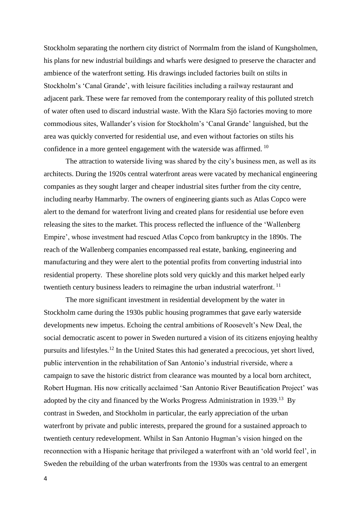Stockholm separating the northern city district of Norrmalm from the island of Kungsholmen, his plans for new industrial buildings and wharfs were designed to preserve the character and ambience of the waterfront setting. His drawings included factories built on stilts in Stockholm's 'Canal Grande', with leisure facilities including a railway restaurant and adjacent park. These were far removed from the contemporary reality of this polluted stretch of water often used to discard industrial waste. With the Klara Sjö factories moving to more commodious sites, Wallander's vision for Stockholm's 'Canal Grande' languished, but the area was quickly converted for residential use, and even without factories on stilts his confidence in a more genteel engagement with the waterside was affirmed. <sup>10</sup>

The attraction to waterside living was shared by the city's business men, as well as its architects. During the 1920s central waterfront areas were vacated by mechanical engineering companies as they sought larger and cheaper industrial sites further from the city centre, including nearby Hammarby. The owners of engineering giants such as Atlas Copco were alert to the demand for waterfront living and created plans for residential use before even releasing the sites to the market. This process reflected the influence of the 'Wallenberg Empire', whose investment had rescued Atlas Copco from bankruptcy in the 1890s. The reach of the Wallenberg companies encompassed real estate, banking, engineering and manufacturing and they were alert to the potential profits from converting industrial into residential property. These shoreline plots sold very quickly and this market helped early twentieth century business leaders to reimagine the urban industrial waterfront.<sup>11</sup>

The more significant investment in residential development by the water in Stockholm came during the 1930s public housing programmes that gave early waterside developments new impetus. Echoing the central ambitions of Roosevelt's New Deal, the social democratic ascent to power in Sweden nurtured a vision of its citizens enjoying healthy pursuits and lifestyles.<sup>12</sup> In the United States this had generated a precocious, yet short lived, public intervention in the rehabilitation of San Antonio's industrial riverside, where a campaign to save the historic district from clearance was mounted by a local born architect, Robert Hugman. His now critically acclaimed 'San Antonio River Beautification Project' was adopted by the city and financed by the Works Progress Administration in 1939.<sup>13</sup> By contrast in Sweden, and Stockholm in particular, the early appreciation of the urban waterfront by private and public interests, prepared the ground for a sustained approach to twentieth century redevelopment. Whilst in San Antonio Hugman's vision hinged on the reconnection with a Hispanic heritage that privileged a waterfront with an 'old world feel', in Sweden the rebuilding of the urban waterfronts from the 1930s was central to an emergent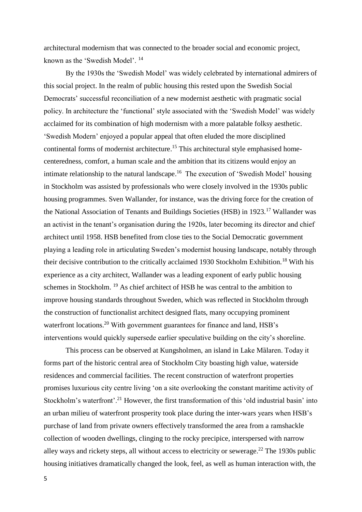architectural modernism that was connected to the broader social and economic project, known as the 'Swedish Model'. <sup>14</sup>

By the 1930s the 'Swedish Model' was widely celebrated by international admirers of this social project. In the realm of public housing this rested upon the Swedish Social Democrats' successful reconciliation of a new modernist aesthetic with pragmatic social policy. In architecture the 'functional' style associated with the 'Swedish Model' was widely acclaimed for its combination of high modernism with a more palatable folksy aesthetic. 'Swedish Modern' enjoyed a popular appeal that often eluded the more disciplined continental forms of modernist architecture. <sup>15</sup> This architectural style emphasised homecenteredness, comfort, a human scale and the ambition that its citizens would enjoy an intimate relationship to the natural landscape.<sup>16</sup> The execution of 'Swedish Model' housing in Stockholm was assisted by professionals who were closely involved in the 1930s public housing programmes. Sven Wallander, for instance, was the driving force for the creation of the National Association of Tenants and Buildings Societies (HSB) in 1923.<sup>17</sup> Wallander was an activist in the tenant's organisation during the 1920s, later becoming its director and chief architect until 1958. HSB benefited from close ties to the Social Democratic government playing a leading role in articulating Sweden's modernist housing landscape, notably through their decisive contribution to the critically acclaimed 1930 Stockholm Exhibition.<sup>18</sup> With his experience as a city architect, Wallander was a leading exponent of early public housing schemes in Stockholm. <sup>19</sup> As chief architect of HSB he was central to the ambition to improve housing standards throughout Sweden, which was reflected in Stockholm through the construction of functionalist architect designed flats, many occupying prominent waterfront locations.<sup>20</sup> With government guarantees for finance and land, HSB's interventions would quickly supersede earlier speculative building on the city's shoreline.

This process can be observed at Kungsholmen, an island in Lake Mȁlaren. Today it forms part of the historic central area of Stockholm City boasting high value, waterside residences and commercial facilities. The recent construction of waterfront properties promises luxurious city centre living 'on a site overlooking the constant maritime activity of Stockholm's waterfront'.<sup>21</sup> However, the first transformation of this 'old industrial basin' into an urban milieu of waterfront prosperity took place during the inter-wars years when HSB's purchase of land from private owners effectively transformed the area from a ramshackle collection of wooden dwellings, clinging to the rocky precipice, interspersed with narrow alley ways and rickety steps, all without access to electricity or sewerage. <sup>22</sup> The 1930s public housing initiatives dramatically changed the look, feel, as well as human interaction with, the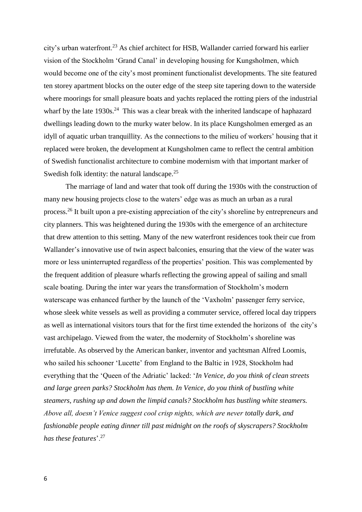city's urban waterfront.<sup>23</sup> As chief architect for HSB, Wallander carried forward his earlier vision of the Stockholm 'Grand Canal' in developing housing for Kungsholmen, which would become one of the city's most prominent functionalist developments. The site featured ten storey apartment blocks on the outer edge of the steep site tapering down to the waterside where moorings for small pleasure boats and yachts replaced the rotting piers of the industrial wharf by the late  $1930s$ <sup>24</sup> This was a clear break with the inherited landscape of haphazard dwellings leading down to the murky water below. In its place Kungsholmen emerged as an idyll of aquatic urban tranquillity. As the connections to the milieu of workers' housing that it replaced were broken, the development at Kungsholmen came to reflect the central ambition of Swedish functionalist architecture to combine modernism with that important marker of Swedish folk identity: the natural landscape.<sup>25</sup>

The marriage of land and water that took off during the 1930s with the construction of many new housing projects close to the waters' edge was as much an urban as a rural process.<sup>26</sup> It built upon a pre-existing appreciation of the city's shoreline by entrepreneurs and city planners. This was heightened during the 1930s with the emergence of an architecture that drew attention to this setting. Many of the new waterfront residences took their cue from Wallander's innovative use of twin aspect balconies, ensuring that the view of the water was more or less uninterrupted regardless of the properties' position. This was complemented by the frequent addition of pleasure wharfs reflecting the growing appeal of sailing and small scale boating. During the inter war years the transformation of Stockholm's modern waterscape was enhanced further by the launch of the 'Vaxholm' passenger ferry service, whose sleek white vessels as well as providing a commuter service, offered local day trippers as well as international visitors tours that for the first time extended the horizons of the city's vast archipelago. Viewed from the water, the modernity of Stockholm's shoreline was irrefutable. As observed by the American banker, inventor and yachtsman Alfred Loomis, who sailed his schooner 'Lucette' from England to the Baltic in 1928, Stockholm had everything that the 'Queen of the Adriatic' lacked: '*In Venice, do you think of clean streets and large green parks? Stockholm has them. In Venice, do you think of bustling white steamers, rushing up and down the limpid canals? Stockholm has bustling white steamers. Above all, doesn't Venice suggest cool crisp nights, which are never totally dark, and fashionable people eating dinner till past midnight on the roofs of skyscrapers? Stockholm has these features*'.<sup>27</sup>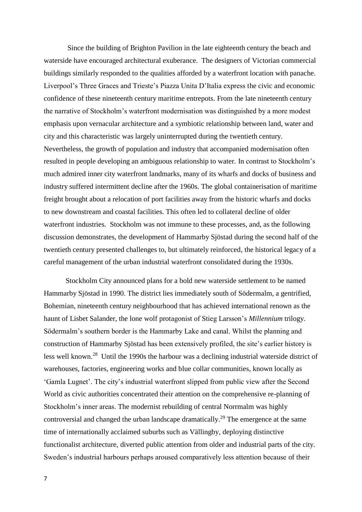Since the building of Brighton Pavilion in the late eighteenth century the beach and waterside have encouraged architectural exuberance. The designers of Victorian commercial buildings similarly responded to the qualities afforded by a waterfront location with panache. Liverpool's Three Graces and Trieste's Piazza Unita D'Italia express the civic and economic confidence of these nineteenth century maritime entrepots. From the late nineteenth century the narrative of Stockholm's waterfront modernisation was distinguished by a more modest emphasis upon vernacular architecture and a symbiotic relationship between land, water and city and this characteristic was largely uninterrupted during the twentieth century. Nevertheless, the growth of population and industry that accompanied modernisation often resulted in people developing an ambiguous relationship to water. In contrast to Stockholm's much admired inner city waterfront landmarks, many of its wharfs and docks of business and industry suffered intermittent decline after the 1960s. The global containerisation of maritime freight brought about a relocation of port facilities away from the historic wharfs and docks to new downstream and coastal facilities. This often led to collateral decline of older waterfront industries. Stockholm was not immune to these processes, and, as the following discussion demonstrates, the development of Hammarby Sjöstad during the second half of the twentieth century presented challenges to, but ultimately reinforced, the historical legacy of a careful management of the urban industrial waterfront consolidated during the 1930s.

Stockholm City announced plans for a bold new waterside settlement to be named Hammarby Sjöstad in 1990. The district lies immediately south of Södermalm, a gentrified, Bohemian, nineteenth century neighbourhood that has achieved international renown as the haunt of Lisbet Salander, the lone wolf protagonist of Stieg Larsson's *Millennium* trilogy. Södermalm's southern border is the Hammarby Lake and canal. Whilst the planning and construction of Hammarby Sjöstad has been extensively profiled, the site's earlier history is less well known.<sup>28</sup> Until the 1990s the harbour was a declining industrial waterside district of warehouses, factories, engineering works and blue collar communities, known locally as 'Gamla Lugnet'. The city's industrial waterfront slipped from public view after the Second World as civic authorities concentrated their attention on the comprehensive re-planning of Stockholm's inner areas. The modernist rebuilding of central Norrmalm was highly controversial and changed the urban landscape dramatically.<sup>29</sup> The emergence at the same time of internationally acclaimed suburbs such as Vällingby, deploying distinctive functionalist architecture, diverted public attention from older and industrial parts of the city. Sweden's industrial harbours perhaps aroused comparatively less attention because of their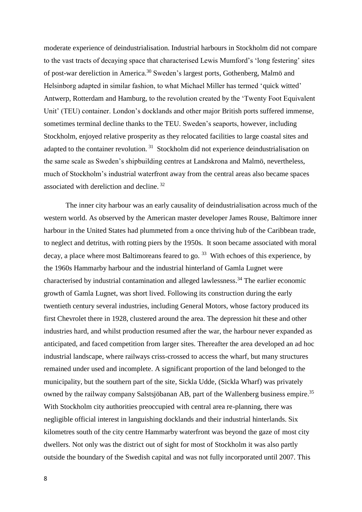moderate experience of deindustrialisation. Industrial harbours in Stockholm did not compare to the vast tracts of decaying space that characterised Lewis Mumford's 'long festering' sites of post-war dereliction in America.<sup>30</sup> Sweden's largest ports, Gothenberg, Malmö and Helsinborg adapted in similar fashion, to what Michael Miller has termed 'quick witted' Antwerp, Rotterdam and Hamburg, to the revolution created by the 'Twenty Foot Equivalent Unit' (TEU) container. London's docklands and other major British ports suffered immense, sometimes terminal decline thanks to the TEU. Sweden's seaports, however, including Stockholm, enjoyed relative prosperity as they relocated facilities to large coastal sites and adapted to the container revolution.<sup>31</sup> Stockholm did not experience deindustrialisation on the same scale as Sweden's shipbuilding centres at Landskrona and Malmö, nevertheless, much of Stockholm's industrial waterfront away from the central areas also became spaces associated with dereliction and decline.<sup>32</sup>

The inner city harbour was an early causality of deindustrialisation across much of the western world. As observed by the American master developer James Rouse, Baltimore inner harbour in the United States had plummeted from a once thriving hub of the Caribbean trade, to neglect and detritus, with rotting piers by the 1950s. It soon became associated with moral decay, a place where most Baltimoreans feared to go.  $33$  With echoes of this experience, by the 1960s Hammarby harbour and the industrial hinterland of Gamla Lugnet were characterised by industrial contamination and alleged lawlessness. <sup>34</sup> The earlier economic growth of Gamla Lugnet, was short lived. Following its construction during the early twentieth century several industries, including General Motors, whose factory produced its first Chevrolet there in 1928, clustered around the area. The depression hit these and other industries hard, and whilst production resumed after the war, the harbour never expanded as anticipated, and faced competition from larger sites. Thereafter the area developed an ad hoc industrial landscape, where railways criss-crossed to access the wharf, but many structures remained under used and incomplete. A significant proportion of the land belonged to the municipality, but the southern part of the site, Sickla Udde, (Sickla Wharf) was privately owned by the railway company Salstsjöbanan AB, part of the Wallenberg business empire.<sup>35</sup> With Stockholm city authorities preoccupied with central area re-planning, there was negligible official interest in languishing docklands and their industrial hinterlands. Six kilometres south of the city centre Hammarby waterfront was beyond the gaze of most city dwellers. Not only was the district out of sight for most of Stockholm it was also partly outside the boundary of the Swedish capital and was not fully incorporated until 2007. This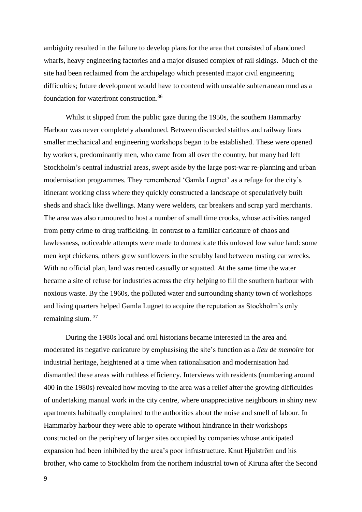ambiguity resulted in the failure to develop plans for the area that consisted of abandoned wharfs, heavy engineering factories and a major disused complex of rail sidings. Much of the site had been reclaimed from the archipelago which presented major civil engineering difficulties; future development would have to contend with unstable subterranean mud as a foundation for waterfront construction. 36

Whilst it slipped from the public gaze during the 1950s, the southern Hammarby Harbour was never completely abandoned. Between discarded staithes and railway lines smaller mechanical and engineering workshops began to be established. These were opened by workers, predominantly men, who came from all over the country, but many had left Stockholm's central industrial areas, swept aside by the large post-war re-planning and urban modernisation programmes. They remembered 'Gamla Lugnet' as a refuge for the city's itinerant working class where they quickly constructed a landscape of speculatively built sheds and shack like dwellings. Many were welders, car breakers and scrap yard merchants. The area was also rumoured to host a number of small time crooks, whose activities ranged from petty crime to drug trafficking. In contrast to a familiar caricature of chaos and lawlessness, noticeable attempts were made to domesticate this unloved low value land: some men kept chickens, others grew sunflowers in the scrubby land between rusting car wrecks. With no official plan, land was rented casually or squatted. At the same time the water became a site of refuse for industries across the city helping to fill the southern harbour with noxious waste. By the 1960s, the polluted water and surrounding shanty town of workshops and living quarters helped Gamla Lugnet to acquire the reputation as Stockholm's only remaining slum.<sup>37</sup>

During the 1980s local and oral historians became interested in the area and moderated its negative caricature by emphasising the site's function as a *lieu de memoire* for industrial heritage, heightened at a time when rationalisation and modernisation had dismantled these areas with ruthless efficiency. Interviews with residents (numbering around 400 in the 1980s) revealed how moving to the area was a relief after the growing difficulties of undertaking manual work in the city centre, where unappreciative neighbours in shiny new apartments habitually complained to the authorities about the noise and smell of labour. In Hammarby harbour they were able to operate without hindrance in their workshops constructed on the periphery of larger sites occupied by companies whose anticipated expansion had been inhibited by the area's poor infrastructure. Knut Hjulström and his brother, who came to Stockholm from the northern industrial town of Kiruna after the Second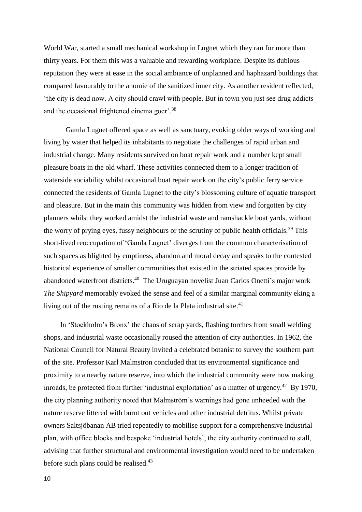World War, started a small mechanical workshop in Lugnet which they ran for more than thirty years. For them this was a valuable and rewarding workplace. Despite its dubious reputation they were at ease in the social ambiance of unplanned and haphazard buildings that compared favourably to the anomie of the sanitized inner city. As another resident reflected, 'the city is dead now. A city should crawl with people. But in town you just see drug addicts and the occasional frightened cinema goer'.<sup>38</sup>

Gamla Lugnet offered space as well as sanctuary, evoking older ways of working and living by water that helped its inhabitants to negotiate the challenges of rapid urban and industrial change. Many residents survived on boat repair work and a number kept small pleasure boats in the old wharf. These activities connected them to a longer tradition of waterside sociability whilst occasional boat repair work on the city's public ferry service connected the residents of Gamla Lugnet to the city's blossoming culture of aquatic transport and pleasure. But in the main this community was hidden from view and forgotten by city planners whilst they worked amidst the industrial waste and ramshackle boat yards, without the worry of prying eyes, fussy neighbours or the scrutiny of public health officials.<sup>39</sup> This short-lived reoccupation of 'Gamla Lugnet' diverges from the common characterisation of such spaces as blighted by emptiness, abandon and moral decay and speaks to the contested historical experience of smaller communities that existed in the striated spaces provide by abandoned waterfront districts.<sup>40</sup> The Uruguayan novelist Juan Carlos Onetti's major work *The Shipyard* memorably evoked the sense and feel of a similar marginal community eking a living out of the rusting remains of a Rio de la Plata industrial site.<sup>41</sup>

 In 'Stockholm's Bronx' the chaos of scrap yards, flashing torches from small welding shops, and industrial waste occasionally roused the attention of city authorities. In 1962, the National Council for Natural Beauty invited a celebrated botanist to survey the southern part of the site. Professor Karl Malmstron concluded that its environmental significance and proximity to a nearby nature reserve, into which the industrial community were now making inroads, be protected from further 'industrial exploitation' as a matter of urgency.<sup>42</sup> By 1970, the city planning authority noted that Malmström's warnings had gone unheeded with the nature reserve littered with burnt out vehicles and other industrial detritus. Whilst private owners Saltsjöbanan AB tried repeatedly to mobilise support for a comprehensive industrial plan, with office blocks and bespoke 'industrial hotels', the city authority continued to stall, advising that further structural and environmental investigation would need to be undertaken before such plans could be realised. $43$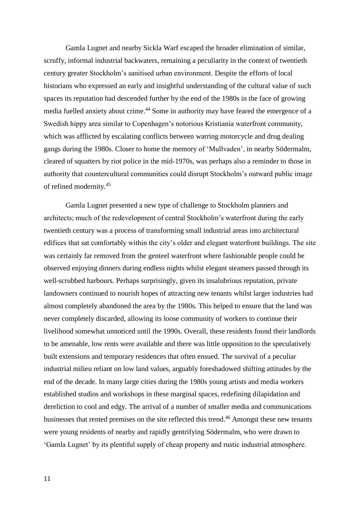Gamla Lugnet and nearby Sickla Warf escaped the broader elimination of similar, scruffy, informal industrial backwaters, remaining a peculiarity in the context of twentieth century greater Stockholm's sanitised urban environment. Despite the efforts of local historians who expressed an early and insightful understanding of the cultural value of such spaces its reputation had descended further by the end of the 1980s in the face of growing media fuelled anxiety about crime.<sup>44</sup> Some in authority may have feared the emergence of a Swedish hippy area similar to Copenhagen's notorious Kristiania waterfront community, which was afflicted by escalating conflicts between warring motorcycle and drug dealing gangs during the 1980s. Closer to home the memory of 'Mullvaden', in nearby Södermalm, cleared of squatters by riot police in the mid-1970s, was perhaps also a reminder to those in authority that countercultural communities could disrupt Stockholm's outward public image of refined modernity.<sup>45</sup>

Gamla Lugnet presented a new type of challenge to Stockholm planners and architects; much of the redevelopment of central Stockholm's waterfront during the early twentieth century was a process of transforming small industrial areas into architectural edifices that sat comfortably within the city's older and elegant waterfront buildings. The site was certainly far removed from the genteel waterfront where fashionable people could be observed enjoying dinners during endless nights whilst elegant steamers passed through its well-scrubbed harbours. Perhaps surprisingly, given its insalubrious reputation, private landowners continued to nourish hopes of attracting new tenants whilst larger industries had almost completely abandoned the area by the 1980s. This helped to ensure that the land was never completely discarded, allowing its loose community of workers to continue their livelihood somewhat unnoticed until the 1990s. Overall, these residents found their landlords to be amenable, low rents were available and there was little opposition to the speculatively built extensions and temporary residences that often ensued. The survival of a peculiar industrial milieu reliant on low land values, arguably foreshadowed shifting attitudes by the end of the decade. In many large cities during the 1980s young artists and media workers established studios and workshops in these marginal spaces, redefining dilapidation and dereliction to cool and edgy. The arrival of a number of smaller media and communications businesses that rented premises on the site reflected this trend.<sup>46</sup> Amongst these new tenants were young residents of nearby and rapidly gentrifying Södermalm, who were drawn to 'Gamla Lugnet' by its plentiful supply of cheap property and rustic industrial atmosphere.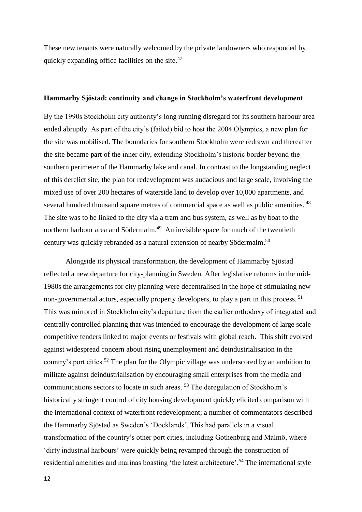These new tenants were naturally welcomed by the private landowners who responded by quickly expanding office facilities on the site.<sup>47</sup>

## **Hammarby Sjöstad: continuity and change in Stockholm's waterfront development**

By the 1990s Stockholm city authority's long running disregard for its southern harbour area ended abruptly. As part of the city's (failed) bid to host the 2004 Olympics, a new plan for the site was mobilised. The boundaries for southern Stockholm were redrawn and thereafter the site became part of the inner city, extending Stockholm's historic border beyond the southern perimeter of the Hammarby lake and canal. In contrast to the longstanding neglect of this derelict site, the plan for redevelopment was audacious and large scale, involving the mixed use of over 200 hectares of waterside land to develop over 10,000 apartments, and several hundred thousand square metres of commercial space as well as public amenities. <sup>48</sup> The site was to be linked to the city via a tram and bus system, as well as by boat to the northern harbour area and Södermalm.<sup>49</sup> An invisible space for much of the twentieth century was quickly rebranded as a natural extension of nearby Södermalm. 50

Alongside its physical transformation, the development of Hammarby Sjöstad reflected a new departure for city-planning in Sweden. After legislative reforms in the mid-1980s the arrangements for city planning were decentralised in the hope of stimulating new non-governmental actors, especially property developers, to play a part in this process.<sup>51</sup> This was mirrored in Stockholm city's departure from the earlier orthodoxy of integrated and centrally controlled planning that was intended to encourage the development of large scale competitive tenders linked to major events or festivals with global reach**.** This shift evolved against widespread concern about rising unemployment and deindustrialisation in the country's port cities.<sup>52</sup> The plan for the Olympic village was underscored by an ambition to militate against deindustrialisation by encouraging small enterprises from the media and communications sectors to locate in such areas. <sup>53</sup> The deregulation of Stockholm's historically stringent control of city housing development quickly elicited comparison with the international context of waterfront redevelopment; a number of commentators described the Hammarby Sjöstad as Sweden's 'Docklands'. This had parallels in a visual transformation of the country's other port cities, including Gothenburg and Malmö, where 'dirty industrial harbours' were quickly being revamped through the construction of residential amenities and marinas boasting 'the latest architecture'.<sup>54</sup> The international style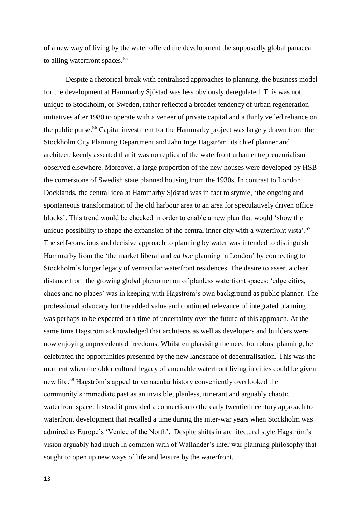of a new way of living by the water offered the development the supposedly global panacea to ailing waterfront spaces.<sup>55</sup>

Despite a rhetorical break with centralised approaches to planning, the business model for the development at Hammarby Sjöstad was less obviously deregulated. This was not unique to Stockholm, or Sweden, rather reflected a broader tendency of urban regeneration initiatives after 1980 to operate with a veneer of private capital and a thinly veiled reliance on the public purse.<sup>56</sup> Capital investment for the Hammarby project was largely drawn from the Stockholm City Planning Department and Jahn Inge Hagström, its chief planner and architect, keenly asserted that it was no replica of the waterfront urban entrepreneurialism observed elsewhere. Moreover, a large proportion of the new houses were developed by HSB the cornerstone of Swedish state planned housing from the 1930s. In contrast to London Docklands, the central idea at Hammarby Sjöstad was in fact to stymie, 'the ongoing and spontaneous transformation of the old harbour area to an area for speculatively driven office blocks'. This trend would be checked in order to enable a new plan that would 'show the unique possibility to shape the expansion of the central inner city with a waterfront vista'.<sup>57</sup> The self-conscious and decisive approach to planning by water was intended to distinguish Hammarby from the 'the market liberal and *ad hoc* planning in London' by connecting to Stockholm's longer legacy of vernacular waterfront residences. The desire to assert a clear distance from the growing global phenomenon of planless waterfront spaces: 'edge cities, chaos and no places' was in keeping with Hagström's own background as public planner. The professional advocacy for the added value and continued relevance of integrated planning was perhaps to be expected at a time of uncertainty over the future of this approach. At the same time Hagström acknowledged that architects as well as developers and builders were now enjoying unprecedented freedoms. Whilst emphasising the need for robust planning, he celebrated the opportunities presented by the new landscape of decentralisation. This was the moment when the older cultural legacy of amenable waterfront living in cities could be given new life.<sup>58</sup> Hagström's appeal to vernacular history conveniently overlooked the community's immediate past as an invisible, planless, itinerant and arguably chaotic waterfront space. Instead it provided a connection to the early twentieth century approach to waterfront development that recalled a time during the inter-war years when Stockholm was admired as Europe's 'Venice of the North'. Despite shifts in architectural style Hagström's vision arguably had much in common with of Wallander's inter war planning philosophy that sought to open up new ways of life and leisure by the waterfront.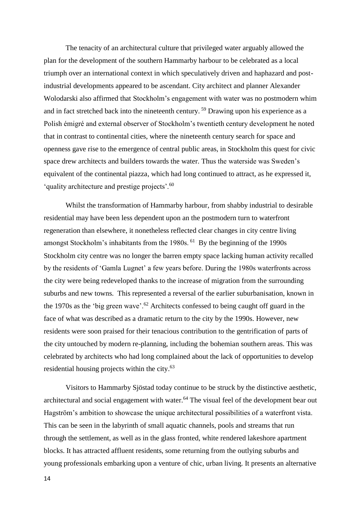The tenacity of an architectural culture that privileged water arguably allowed the plan for the development of the southern Hammarby harbour to be celebrated as a local triumph over an international context in which speculatively driven and haphazard and postindustrial developments appeared to be ascendant. City architect and planner Alexander Wolodarski also affirmed that Stockholm's engagement with water was no postmodern whim and in fact stretched back into the nineteenth century. <sup>59</sup> Drawing upon his experience as a Polish émigré and external observer of Stockholm's twentieth century development he noted that in contrast to continental cities, where the nineteenth century search for space and openness gave rise to the emergence of central public areas, in Stockholm this quest for civic space drew architects and builders towards the water. Thus the waterside was Sweden's equivalent of the continental piazza, which had long continued to attract, as he expressed it, 'quality architecture and prestige projects'.<sup>60</sup>

Whilst the transformation of Hammarby harbour, from shabby industrial to desirable residential may have been less dependent upon an the postmodern turn to waterfront regeneration than elsewhere, it nonetheless reflected clear changes in city centre living amongst Stockholm's inhabitants from the 1980s. <sup>61</sup> By the beginning of the 1990s Stockholm city centre was no longer the barren empty space lacking human activity recalled by the residents of 'Gamla Lugnet' a few years before. During the 1980s waterfronts across the city were being redeveloped thanks to the increase of migration from the surrounding suburbs and new towns. This represented a reversal of the earlier suburbanisation, known in the 1970s as the 'big green wave'.<sup>62</sup> Architects confessed to being caught off guard in the face of what was described as a dramatic return to the city by the 1990s. However, new residents were soon praised for their tenacious contribution to the gentrification of parts of the city untouched by modern re-planning, including the bohemian southern areas. This was celebrated by architects who had long complained about the lack of opportunities to develop residential housing projects within the city. 63

Visitors to Hammarby Sjöstad today continue to be struck by the distinctive aesthetic, architectural and social engagement with water.<sup>64</sup> The visual feel of the development bear out Hagström's ambition to showcase the unique architectural possibilities of a waterfront vista. This can be seen in the labyrinth of small aquatic channels, pools and streams that run through the settlement, as well as in the glass fronted, white rendered lakeshore apartment blocks. It has attracted affluent residents, some returning from the outlying suburbs and young professionals embarking upon a venture of chic, urban living. It presents an alternative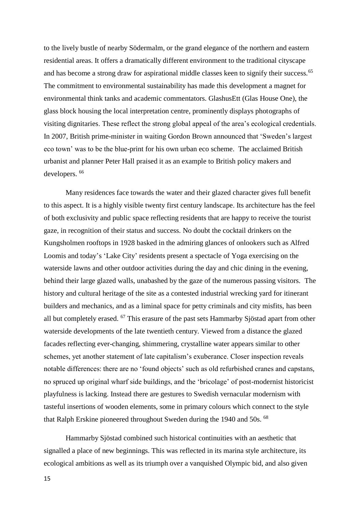to the lively bustle of nearby Södermalm, or the grand elegance of the northern and eastern residential areas. It offers a dramatically different environment to the traditional cityscape and has become a strong draw for aspirational middle classes keen to signify their success.<sup>65</sup> The commitment to environmental sustainability has made this development a magnet for environmental think tanks and academic commentators. GlashusEtt (Glas House One), the glass block housing the local interpretation centre, prominently displays photographs of visiting dignitaries. These reflect the strong global appeal of the area's ecological credentials. In 2007, British prime-minister in waiting Gordon Brown announced that 'Sweden's largest eco town' was to be the blue-print for his own urban eco scheme. The acclaimed British urbanist and planner Peter Hall praised it as an example to British policy makers and developers.<sup>66</sup>

Many residences face towards the water and their glazed character gives full benefit to this aspect. It is a highly visible twenty first century landscape. Its architecture has the feel of both exclusivity and public space reflecting residents that are happy to receive the tourist gaze, in recognition of their status and success. No doubt the cocktail drinkers on the Kungsholmen rooftops in 1928 basked in the admiring glances of onlookers such as Alfred Loomis and today's 'Lake City' residents present a spectacle of Yoga exercising on the waterside lawns and other outdoor activities during the day and chic dining in the evening, behind their large glazed walls, unabashed by the gaze of the numerous passing visitors. The history and cultural heritage of the site as a contested industrial wrecking yard for itinerant builders and mechanics, and as a liminal space for petty criminals and city misfits, has been all but completely erased. <sup>67</sup> This erasure of the past sets Hammarby Sjöstad apart from other waterside developments of the late twentieth century. Viewed from a distance the glazed facades reflecting ever-changing, shimmering, crystalline water appears similar to other schemes, yet another statement of late capitalism's exuberance. Closer inspection reveals notable differences: there are no 'found objects' such as old refurbished cranes and capstans, no spruced up original wharf side buildings, and the 'bricolage' of post-modernist historicist playfulness is lacking. Instead there are gestures to Swedish vernacular modernism with tasteful insertions of wooden elements, some in primary colours which connect to the style that Ralph Erskine pioneered throughout Sweden during the 1940 and 50s. <sup>68</sup>

Hammarby Sjöstad combined such historical continuities with an aesthetic that signalled a place of new beginnings. This was reflected in its marina style architecture, its ecological ambitions as well as its triumph over a vanquished Olympic bid, and also given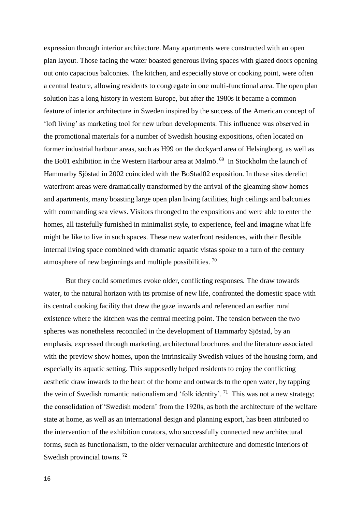expression through interior architecture. Many apartments were constructed with an open plan layout. Those facing the water boasted generous living spaces with glazed doors opening out onto capacious balconies. The kitchen, and especially stove or cooking point, were often a central feature, allowing residents to congregate in one multi-functional area. The open plan solution has a long history in western Europe, but after the 1980s it became a common feature of interior architecture in Sweden inspired by the success of the American concept of 'loft living' as marketing tool for new urban developments. This influence was observed in the promotional materials for a number of Swedish housing expositions, often located on former industrial harbour areas, such as H99 on the dockyard area of Helsingborg, as well as the Bo01 exhibition in the Western Harbour area at Malmö. 69 In Stockholm the launch of Hammarby Sjöstad in 2002 coincided with the BoStad02 exposition. In these sites derelict waterfront areas were dramatically transformed by the arrival of the gleaming show homes and apartments, many boasting large open plan living facilities, high ceilings and balconies with commanding sea views. Visitors thronged to the expositions and were able to enter the homes, all tastefully furnished in minimalist style, to experience, feel and imagine what life might be like to live in such spaces. These new waterfront residences, with their flexible internal living space combined with dramatic aquatic vistas spoke to a turn of the century atmosphere of new beginnings and multiple possibilities. <sup>70</sup>

But they could sometimes evoke older, conflicting responses. The draw towards water, to the natural horizon with its promise of new life, confronted the domestic space with its central cooking facility that drew the gaze inwards and referenced an earlier rural existence where the kitchen was the central meeting point. The tension between the two spheres was nonetheless reconciled in the development of Hammarby Sjöstad, by an emphasis, expressed through marketing, architectural brochures and the literature associated with the preview show homes, upon the intrinsically Swedish values of the housing form, and especially its aquatic setting. This supposedly helped residents to enjoy the conflicting aesthetic draw inwards to the heart of the home and outwards to the open water, by tapping the vein of Swedish romantic nationalism and 'folk identity'.<sup>71</sup> This was not a new strategy; the consolidation of 'Swedish modern' from the 1920s, as both the architecture of the welfare state at home, as well as an international design and planning export, has been attributed to the intervention of the exhibition curators, who successfully connected new architectural forms, such as functionalism, to the older vernacular architecture and domestic interiors of Swedish provincial towns. **<sup>72</sup>**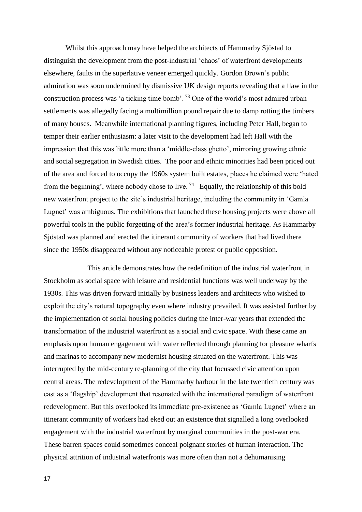Whilst this approach may have helped the architects of Hammarby Sjöstad to distinguish the development from the post-industrial 'chaos' of waterfront developments elsewhere, faults in the superlative veneer emerged quickly. Gordon Brown's public admiration was soon undermined by dismissive UK design reports revealing that a flaw in the construction process was 'a ticking time bomb'. <sup>73</sup> One of the world's most admired urban settlements was allegedly facing a multimillion pound repair due to damp rotting the timbers of many houses. Meanwhile international planning figures, including Peter Hall, began to temper their earlier enthusiasm: a later visit to the development had left Hall with the impression that this was little more than a 'middle-class ghetto', mirroring growing ethnic and social segregation in Swedish cities. The poor and ethnic minorities had been priced out of the area and forced to occupy the 1960s system built estates, places he claimed were 'hated from the beginning', where nobody chose to live.<sup>74</sup> Equally, the relationship of this bold new waterfront project to the site's industrial heritage, including the community in 'Gamla Lugnet' was ambiguous. The exhibitions that launched these housing projects were above all powerful tools in the public forgetting of the area's former industrial heritage. As Hammarby Sjöstad was planned and erected the itinerant community of workers that had lived there since the 1950s disappeared without any noticeable protest or public opposition.

This article demonstrates how the redefinition of the industrial waterfront in Stockholm as social space with leisure and residential functions was well underway by the 1930s. This was driven forward initially by business leaders and architects who wished to exploit the city's natural topography even where industry prevailed. It was assisted further by the implementation of social housing policies during the inter-war years that extended the transformation of the industrial waterfront as a social and civic space. With these came an emphasis upon human engagement with water reflected through planning for pleasure wharfs and marinas to accompany new modernist housing situated on the waterfront. This was interrupted by the mid-century re-planning of the city that focussed civic attention upon central areas. The redevelopment of the Hammarby harbour in the late twentieth century was cast as a 'flagship' development that resonated with the international paradigm of waterfront redevelopment. But this overlooked its immediate pre-existence as 'Gamla Lugnet' where an itinerant community of workers had eked out an existence that signalled a long overlooked engagement with the industrial waterfront by marginal communities in the post-war era. These barren spaces could sometimes conceal poignant stories of human interaction. The physical attrition of industrial waterfronts was more often than not a dehumanising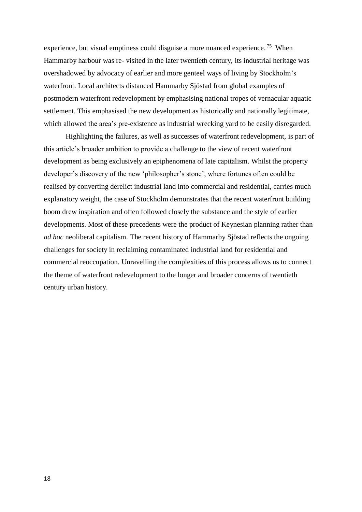experience, but visual emptiness could disguise a more nuanced experience.<sup>75</sup> When Hammarby harbour was re- visited in the later twentieth century, its industrial heritage was overshadowed by advocacy of earlier and more genteel ways of living by Stockholm's waterfront. Local architects distanced Hammarby Sjöstad from global examples of postmodern waterfront redevelopment by emphasising national tropes of vernacular aquatic settlement. This emphasised the new development as historically and nationally legitimate, which allowed the area's pre-existence as industrial wrecking yard to be easily disregarded.

Highlighting the failures, as well as successes of waterfront redevelopment, is part of this article's broader ambition to provide a challenge to the view of recent waterfront development as being exclusively an epiphenomena of late capitalism. Whilst the property developer's discovery of the new 'philosopher's stone', where fortunes often could be realised by converting derelict industrial land into commercial and residential, carries much explanatory weight, the case of Stockholm demonstrates that the recent waterfront building boom drew inspiration and often followed closely the substance and the style of earlier developments. Most of these precedents were the product of Keynesian planning rather than *ad hoc* neoliberal capitalism. The recent history of Hammarby Sjöstad reflects the ongoing challenges for society in reclaiming contaminated industrial land for residential and commercial reoccupation. Unravelling the complexities of this process allows us to connect the theme of waterfront redevelopment to the longer and broader concerns of twentieth century urban history.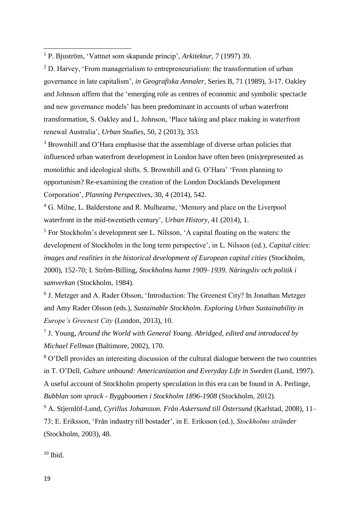$2$  D. Harvey, 'From managerialism to entrepreneurialism: the transformation of urban governance in late capitalism', *in Geografiska Annaler*, Series B, 71 (1989), 3-17. Oakley and Johnson affirm that the 'emerging role as centres of economic and symbolic spectacle and new governance models' has been predominant in accounts of urban waterfront transformation, S. Oakley and L. Johnson, 'Place taking and place making in waterfront renewal Australia', *Urban Studies*, 50, 2 (2013), 353.

<sup>3</sup> Brownhill and O'Hara emphasise that the assemblage of diverse urban policies that influenced urban waterfront development in London have often been (mis)represented as monolithic and ideological shifts. S. Brownhill and G. O'Hara' 'From planning to opportunism? Re-examining the creation of the London Docklands Development Corporation', *Planning Perspectives*, 30, 4 (2014), 542.

<sup>4</sup> G. Milne, L. Balderstone and R. Mulhearne, 'Memory and place on the Liverpool waterfront in the mid-twentieth century', *Urban History*, 41 (2014), 1.

<sup>5</sup> For Stockholm's development see L. Nilsson, 'A capital floating on the waters: the development of Stockholm in the long term perspective', in L. Nilsson (ed.), *Capital cities: images and realities in the historical development of European capital cities* (Stockholm, 2000), 152-70; I. Ström-Billing, *Stockholms hamn 1909–1939. Näringsliv och politik i samverkan* (Stockholm, 1984).

<sup>6</sup> J. Metzger and A. Rader Olsson, 'Introduction: The Greenest City? In Jonathan Metzger and Amy Rader Olsson (eds.), *Sustainable Stockholm. Exploring Urban Sustainability in Europe's Greenest City* (London, 2013), 10.

7 J. Young, *Around the World with General Young. Abridged, edited and introduced by Michael Fellman* (Baltimore, 2002), 170.

<sup>8</sup> O'Dell provides an interesting discussion of the cultural dialogue between the two countries in T. O'Dell, *Culture unbound: Americanization and Everyday Life in Sweden* (Lund, 1997). A useful account of Stockholm property speculation in this era can be found in A. Perlinge, *Bubblan som sprack - Byggboomen i Stockholm 1896-1908* (Stockholm, 2012).

<sup>9</sup> A. Stjernlöf-Lund, *Cyrillus Johansson. Från Askersund till Östersund* (Karlstad, 2008), 11– 73; E. Eriksson, 'Från industry till bostader', in E. Eriksson (ed.), *Stockholms strȁnder*  (Stockholm, 2003), 48.

 $10$  Ibid.

1

<sup>1</sup> P. Bjuström, 'Vattnet som skapande princip', *Arkitektur*, 7 (1997) 39.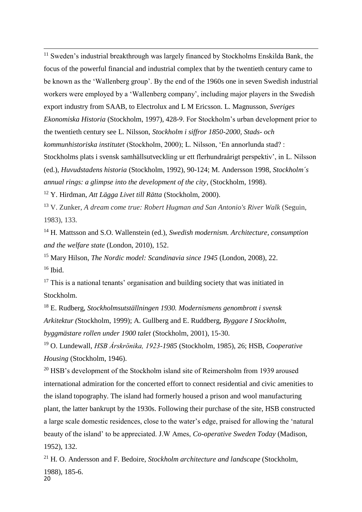<sup>11</sup> Sweden's industrial breakthrough was largely financed by Stockholms Enskilda Bank, the focus of the powerful financial and industrial complex that by the twentieth century came to be known as the 'Wallenberg group'. By the end of the 1960s one in seven Swedish industrial workers were employed by a 'Wallenberg company', including major players in the Swedish export industry from SAAB, to Electrolux and L M Ericsson. L. Magnusson, *Sveriges Ekonomiska Historia* (Stockholm, 1997), 428-9. For Stockholm's urban development prior to the twentieth century see L. Nilsson, *Stockholm i siffror 1850-2000, Stads- och kommunhistoriska institutet* (Stockholm, 2000); L. Nilsson, 'En annorlunda stad? : Stockholms plats i svensk samhällsutveckling ur ett flerhundraårigt perspektiv', in L. Nilsson (ed.), *Huvudstadens historia* (Stockholm, 1992), 90-124; M. Andersson 1998, *Stockholm´s annual rings: a glimpse into the development of the city*, (Stockholm, 1998).

<sup>12</sup> Y. Hirdman, *Att Lägga Livet till Rätta* (Stockholm, 2000).

1

<sup>13</sup> V. Zunker, *A dream come true: Robert Hugman and San Antonio's River Walk (Seguin,* 1983), 133.

<sup>14</sup> H. Mattsson and S.O. Wallenstein (ed.), *Swedish modernism. Architecture, consumption and the welfare state* (London, 2010), 152.

<sup>15</sup> Mary Hilson, *The Nordic model: Scandinavia since 1945* (London, 2008), 22.  $16$  Ibid.

 $17$  This is a national tenants' organisation and building society that was initiated in Stockholm.

<sup>18</sup> E. Rudberg, *Stockholmsutställningen 1930. Modernismens genombrott i svensk Arkitektur (*Stockholm, 1999); A. Gullberg and E. Ruddberg, *Byggare I Stockholm, byggmästare rollen under 1900 talet* (Stockholm, 2001), 15-30.

<sup>19</sup> O. Lundewall, *HSB Ȧrskrӧnika, 1923-1985* (Stockholm, 1985), 26; HSB, *Cooperative Housing* (Stockholm, 1946).

 $20$  HSB's development of the Stockholm island site of Reimersholm from 1939 aroused international admiration for the concerted effort to connect residential and civic amenities to the island topography. The island had formerly housed a prison and wool manufacturing plant, the latter bankrupt by the 1930s. Following their purchase of the site, HSB constructed a large scale domestic residences, close to the water's edge, praised for allowing the 'natural beauty of the island' to be appreciated. J.W Ames, *Co-operative Sweden Today* (Madison, 1952), 132.

20 <sup>21</sup> H. O. Andersson and F. Bedoire, *Stockholm architecture and landscape* (Stockholm, 1988), 185-6.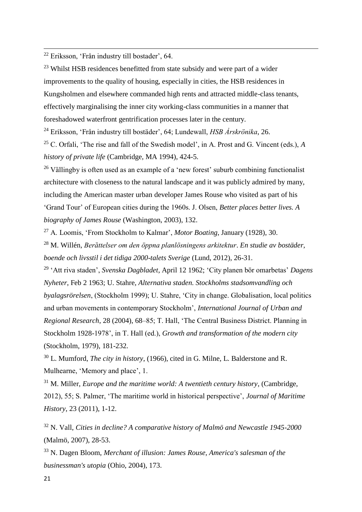<sup>22</sup> Eriksson, 'Från industry till bostader', 64.

1

 $23$  Whilst HSB residences benefitted from state subsidy and were part of a wider improvements to the quality of housing, especially in cities, the HSB residences in Kungsholmen and elsewhere commanded high rents and attracted middle-class tenants, effectively marginalising the inner city working-class communities in a manner that foreshadowed waterfront gentrification processes later in the century.

<sup>24</sup> Eriksson, 'Från industry till bostäder', 64; Lundewall, *HSB Årskrönika*, 26.

<sup>25</sup> C. Orfali, 'The rise and fall of the Swedish model', in A. Prost and G. Vincent (eds.), *A history of private life* (Cambridge, MA 1994), 424-5.

<sup>26</sup> Vällingby is often used as an example of a 'new forest' suburb combining functionalist architecture with closeness to the natural landscape and it was publicly admired by many, including the American master urban developer James Rouse who visited as part of his 'Grand Tour' of European cities during the 1960s. J. Olsen, *Better places better lives. A biography of James Rouse* (Washington, 2003), 132.

<sup>27</sup> A. Loomis, 'From Stockholm to Kalmar', *Motor Boating*, January (1928), 30.

<sup>28</sup> M. Willén, *Berȁttelser om den öppna planlösningens arkitektur*. *En studie av bostäder, boende och livsstil i det tidiga 2000-talets Sverige* (Lund, 2012), 26-31.

<sup>29</sup> 'Att riva staden', *Svenska Dagbladet*, April 12 1962; 'City planen bör omarbetas' *Dagens Nyheter*, Feb 2 1963; U. Stahre, *Alternativa staden. Stockholms stadsomvandling och byalagsrörelsen*, (Stockholm 1999); U. Stahre, 'City in change. Globalisation, local politics and urban movements in contemporary Stockholm', *International Journal of Urban and Regional Research*, 28 (2004), 68–85; T. Hall, 'The Central Business District. Planning in Stockholm 1928-1978', in T. Hall (ed.), *Growth and transformation of the modern city* (Stockholm, 1979), 181-232.

<sup>30</sup> L. Mumford, *The city in history*, (1966), cited in G. Milne, L. Balderstone and R. Mulhearne, 'Memory and place', 1.

<sup>31</sup> M. Miller, *Europe and the maritime world: A twentieth century history*, (Cambridge, 2012), 55; S. Palmer, 'The maritime world in historical perspective', *Journal of Maritime History*, 23 (2011), 1-12.

<sup>32</sup> N. Vall, *Cities in decline? A comparative history of Malmö and Newcastle 1945-2000*  (Malmö, 2007), 28-53.

<sup>33</sup> N. Dagen Bloom, *Merchant of illusion: James Rouse, America's salesman of the businessman's utopia* (Ohio, 2004), 173.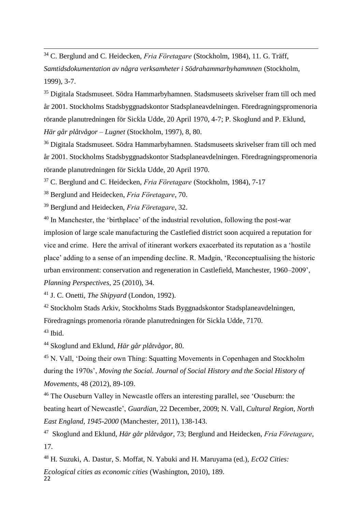<sup>34</sup> C. Berglund and C. Heidecken, *Fria Fӧretagare* (Stockholm, 1984), 11. G. Träff, *Samtidsdokumentation av några verksamheter i Södrahammarbyhammnen* (Stockholm, 1999), 3-7.

<sup>35</sup> Digitala Stadsmuseet. Södra Hammarbyhamnen. Stadsmuseets skrivelser fram till och med år 2001. Stockholms Stadsbyggnadskontor Stadsplaneavdelningen. Föredragningspromenoria rörande planutredningen för Sickla Udde, 20 April 1970, 4-7; P. Skoglund and P. Eklund, *Här går plåtvågor – Lugnet* (Stockholm, 1997), 8, 80.

<sup>36</sup> Digitala Stadsmuseet. Södra Hammarbyhamnen. Stadsmuseets skrivelser fram till och med år 2001. Stockholms Stadsbyggnadskontor Stadsplaneavdelningen. Föredragningspromenoria rörande planutredningen för Sickla Udde, 20 April 1970.

<sup>37</sup> C. Berglund and C. Heidecken, *Fria Fӧretagare* (Stockholm, 1984), 7-17

<sup>38</sup> Berglund and Heidecken, *Fria Fӧretagare*, 70.

1

<sup>39</sup> Berglund and Heidecken, *Fria Fӧretagare*, 32.

<sup>40</sup> In Manchester, the 'birthplace' of the industrial revolution, following the post-war implosion of large scale manufacturing the Castlefied district soon acquired a reputation for vice and crime. Here the arrival of itinerant workers exacerbated its reputation as a 'hostile place' adding to a sense of an impending decline. R. Madgin, 'Reconceptualising the historic urban environment: conservation and regeneration in Castlefield, Manchester, 1960–2009', *Planning Perspectives*, 25 (2010), 34.

<sup>41</sup> J. C. Onetti, *The Shipyard* (London, 1992).

<sup>42</sup> Stockholm Stads Arkiv, Stockholms Stads Byggnadskontor Stadsplaneavdelningen, Föredragnings promenoria rörande planutredningen för Sickla Udde, 7170.  $43$  Ibid.

<sup>44</sup> Skoglund and Eklund, *Här går plåtvågor*, 80.

<sup>45</sup> N. Vall, 'Doing their own Thing: Squatting Movements in Copenhagen and Stockholm during the 1970s', *Moving the Social. Journal of Social History and the Social History of Movements*, 48 (2012), 89-109.

<sup>46</sup> The Ouseburn Valley in Newcastle offers an interesting parallel, see 'Ouseburn: the beating heart of Newcastle', *Guardian,* 22 December, 2009; N. Vall, *Cultural Region, North East England, 1945-2000* (Manchester, 2011), 138-143.

47 Skoglund and Eklund, *Här går plåtvågor*, 73; Berglund and Heidecken, *Fria Fӧretagare*, 17.

 $22$ <sup>48</sup> H. Suzuki, A. Dastur, S. Moffat, N. Yabuki and H. Maruyama (ed.), *EcO2 Cities: Ecological cities as economic cities* (Washington, 2010), 189.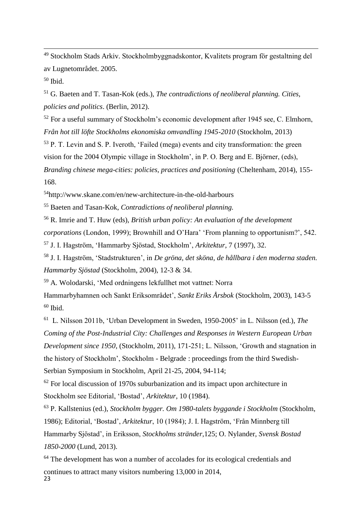<sup>49</sup> Stockholm Stads Arkiv. Stockholmbyggnadskontor, Kvalitets program fӧr gestaltning del av Lugnetområdet. 2005.

 $50$  Ibid.

1

<sup>51</sup> G. Baeten and T. Tasan-Kok (eds.), *The contradictions of neoliberal planning. Cities, policies and politics*. (Berlin, 2012).

 $52$  For a useful summary of Stockholm's economic development after 1945 see, C. Elmhorn, *Från hot till löfte Stockholms ekonomiska omvandling 1945-2010* (Stockholm, 2013)

<sup>53</sup> P. T. Levin and S. P. Iveroth, 'Failed (mega) events and city transformation: the green vision for the 2004 Olympic village in Stockholm', in P. O. Berg and E. Björner, (eds), *Branding chinese mega-cities: policies, practices and positioning* (Cheltenham, 2014), 155- 168.

<sup>54</sup>http://www.skane.com/en/new-architecture-in-the-old-harbours

<sup>55</sup> Baeten and Tasan-Kok, *Contradictions of neoliberal planning.*

<sup>56</sup> R. Imrie and T. Huw (eds), *British urban policy: An evaluation of the development corporations* (London, 1999); Brownhill and O'Hara' 'From planning to opportunism?', 542.

<sup>57</sup> J. I. Hagström, 'Hammarby Sjöstad, Stockholm', *Arkitektur*, 7 (1997), 32.

<sup>58</sup> J. I. Hagström, 'Stadstrukturen', in *De gröna, det sköna, de hållbara i den moderna staden. Hammarby Sjöstad* (Stockholm, 2004), 12-3 & 34.

<sup>59</sup> A. Wolodarski, 'Med ordningens lekfullhet mot vattnet: Norra

Hammarbyhamnen och Sankt Eriksområdet', *Sankt Eriks Årsbok* (Stockholm, 2003), 143-5  $60$  Ibid.

61 L. Nilsson 2011b, 'Urban Development in Sweden, 1950-2005' in L. Nilsson (ed.), *The Coming of the Post-Industrial City: Challenges and Responses in Western European Urban Development since 1950*, (Stockholm, 2011), 171-251; L. Nilsson, 'Growth and stagnation in the history of Stockholm', Stockholm - Belgrade : proceedings from the third Swedish-Serbian Symposium in Stockholm, April 21-25, 2004, 94-114;

 $62$  For local discussion of 1970s suburbanization and its impact upon architecture in Stockholm see Editorial, 'Bostad', *Arkitektur*, 10 (1984).

<sup>63</sup> P. Kallstenius (ed.), *Stockholm bygger. Om 1980-talets byggande i Stockholm* (Stockholm, 1986); Editorial, 'Bostad', *Arkitektur*, 10 (1984); J. I. Hagstrӧm, 'Från Minnberg till Hammarby Sjӧstad', in Eriksson, *Stockholms stränder*,125; O. Nylander, *Svensk Bostad 1850-2000* (Lund, 2013).

23 <sup>64</sup> The development has won a number of accolades for its ecological credentials and continues to attract many visitors numbering 13,000 in 2014,